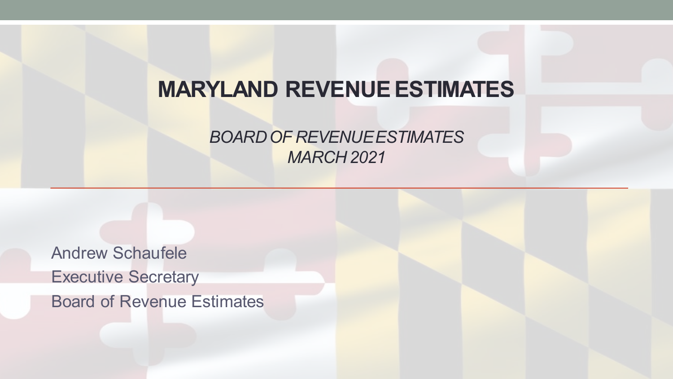## **MARYLAND REVENUE ESTIMATES**

#### *BOARD OF REVENUE ESTIMATES MARCH 2021*

Andrew Schaufele Executive Secretary Board of Revenue Estimates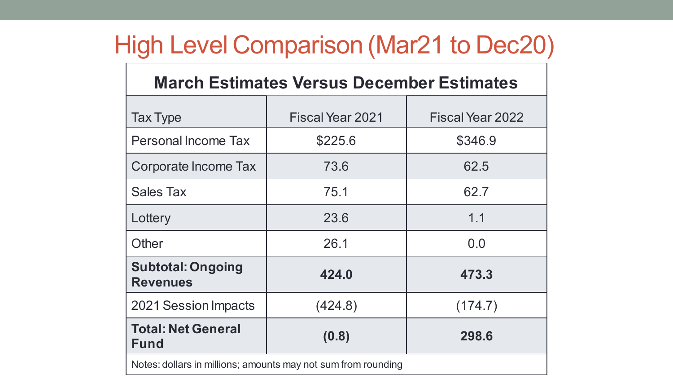# High Level Comparison (Mar21 to Dec20)

| <b>March Estimates Versus December Estimates</b>              |                  |                  |  |
|---------------------------------------------------------------|------------------|------------------|--|
| <b>Tax Type</b>                                               | Fiscal Year 2021 | Fiscal Year 2022 |  |
| <b>Personal Income Tax</b>                                    | \$225.6          | \$346.9          |  |
| Corporate Income Tax                                          | 73.6             | 62.5             |  |
| <b>Sales Tax</b>                                              | 75.1             | 62.7             |  |
| Lottery                                                       | 23.6             | 1.1              |  |
| Other                                                         | 26.1             | 0.0              |  |
| <b>Subtotal: Ongoing</b><br><b>Revenues</b>                   | 424.0            | 473.3            |  |
| 2021 Session Impacts                                          | (424.8)          | (174.7)          |  |
| <b>Total: Net General</b><br><b>Fund</b>                      | (0.8)            | 298.6            |  |
| Notes: dollars in millions; amounts may not sum from rounding |                  |                  |  |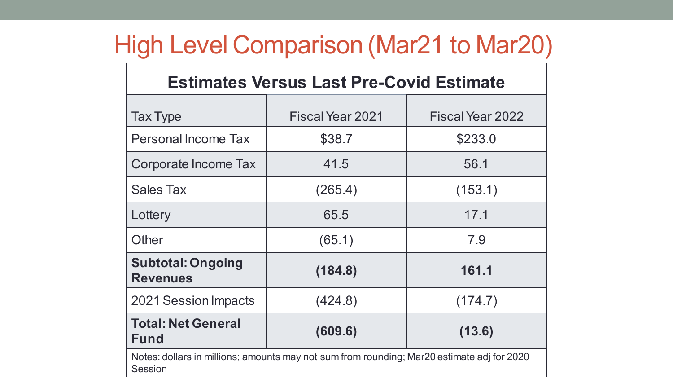# High Level Comparison (Mar21 to Mar20)

| <b>Estimates Versus Last Pre-Covid Estimate</b>                                                              |                  |                  |
|--------------------------------------------------------------------------------------------------------------|------------------|------------------|
| <b>Tax Type</b>                                                                                              | Fiscal Year 2021 | Fiscal Year 2022 |
| <b>Personal Income Tax</b>                                                                                   | \$38.7           | \$233.0          |
| Corporate Income Tax                                                                                         | 41.5             | 56.1             |
| <b>Sales Tax</b>                                                                                             | (265.4)          | (153.1)          |
| Lottery                                                                                                      | 65.5             | 17.1             |
| Other                                                                                                        | (65.1)           | 7.9              |
| <b>Subtotal: Ongoing</b><br><b>Revenues</b>                                                                  | (184.8)          | 161.1            |
| 2021 Session Impacts                                                                                         | (424.8)          | (174.7)          |
| <b>Total: Net General</b><br><b>Fund</b>                                                                     | (609.6)          | (13.6)           |
| Notes: dollars in millions; amounts may not sum from rounding; Mar20 estimate adj for 2020<br><b>Session</b> |                  |                  |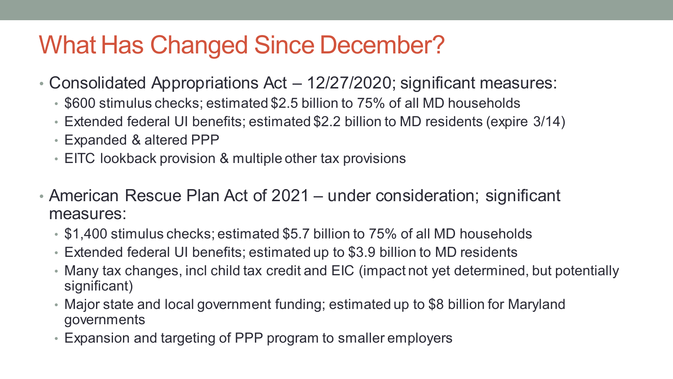# What Has Changed Since December?

- Consolidated Appropriations Act 12/27/2020; significant measures:
	- \$600 stimulus checks; estimated \$2.5 billion to 75% of all MD households
	- Extended federal UI benefits; estimated \$2.2 billion to MD residents (expire 3/14)
	- Expanded & altered PPP
	- EITC lookback provision & multiple other tax provisions
- American Rescue Plan Act of 2021 under consideration; significant measures:
	- \$1,400 stimulus checks; estimated \$5.7 billion to 75% of all MD households
	- Extended federal UI benefits; estimated up to \$3.9 billion to MD residents
	- Many tax changes, incl child tax credit and EIC (impact not yet determined, but potentially significant)
	- Major state and local government funding; estimated up to \$8 billion for Maryland governments
	- Expansion and targeting of PPP program to smaller employers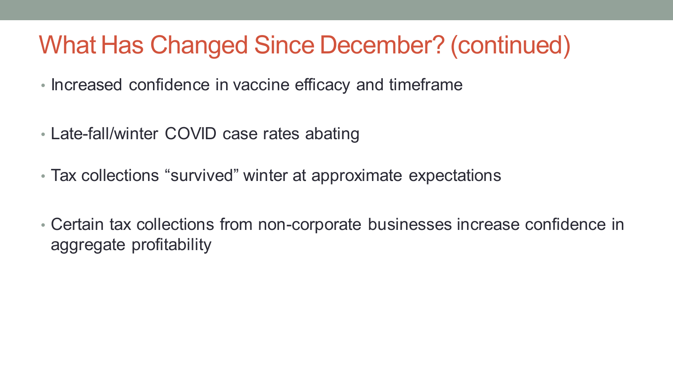# What Has Changed Since December? (continued)

- Increased confidence in vaccine efficacy and timeframe
- Late-fall/winter COVID case rates abating
- Tax collections "survived" winter at approximate expectations
- Certain tax collections from non-corporate businesses increase confidence in aggregate profitability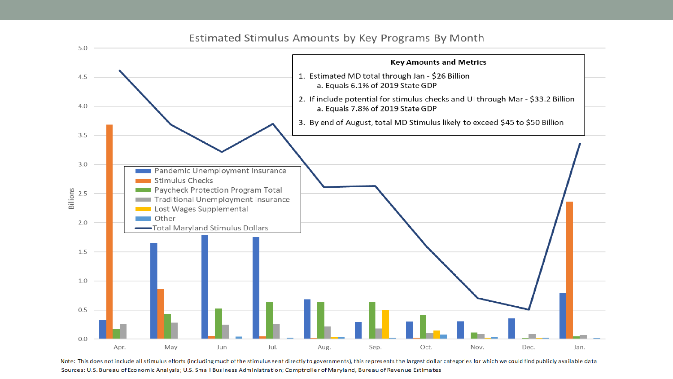

Note: This does not include all stimulus efforts (including much of the stimulus sent directly to governments), this represents the largest dollar categories for which we could find publicly available data Sources: U.S. Bureau of Economic Analysis; U.S. Small Business Administration; Comptroller of Maryland, Bureau of Revenue Estimates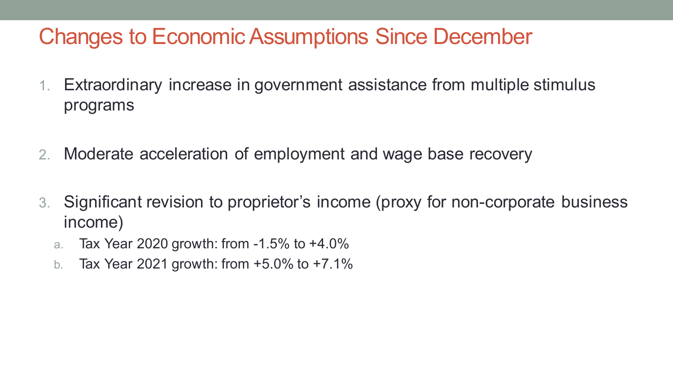## Changes to Economic Assumptions Since December

- 1. Extraordinary increase in government assistance from multiple stimulus programs
- 2. Moderate acceleration of employment and wage base recovery
- 3. Significant revision to proprietor's income (proxy for non-corporate business income)
	- a. Tax Year 2020 growth: from -1.5% to +4.0%
	- b. Tax Year 2021 growth: from +5.0% to +7.1%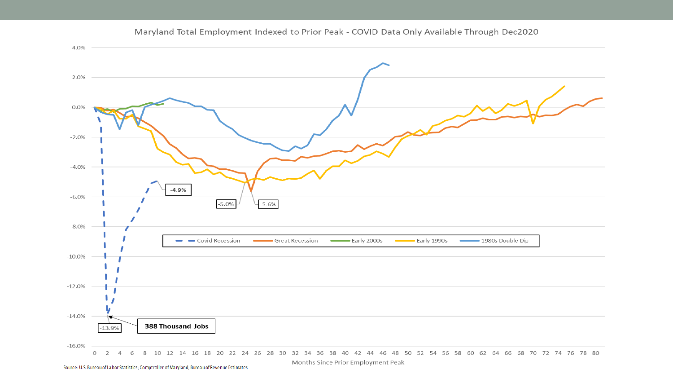

#### Maryland Total Employment Indexed to Prior Peak - COVID Data Only Available Through Dec2020

Source: U.S. Bureau of Labor Statistics; Comptroller of Maryland, Bureau of Revenue Estimates

Months Since Prior Employment Peak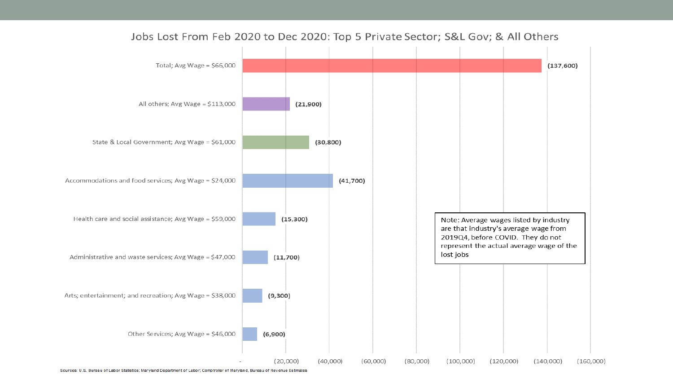

Jobs Lost From Feb 2020 to Dec 2020: Top 5 Private Sector; S&L Gov; & All Others

Sources: U.S. Bureau of Labor Statistics; Maryland Department of Labor; Comptroller of Maryland, Bureau of Revenue Estimates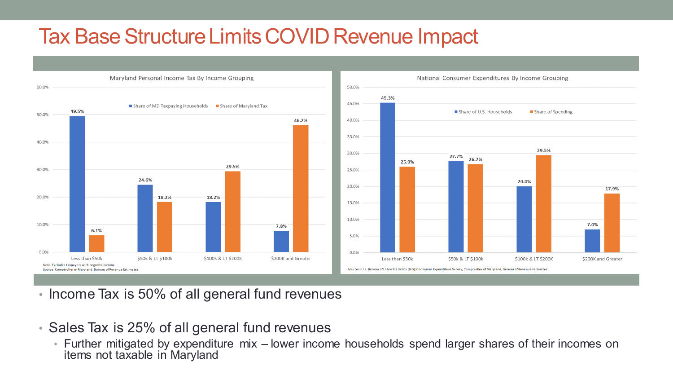## Tax Base Structure Limits COVID Revenue Impact



- Income Tax is 50% of all general fund revenues
- Sales Tax is 25% of all general fund revenues
	- Further mitigated by expenditure mix lower income households spend larger shares of their incomes on items not taxable in Maryland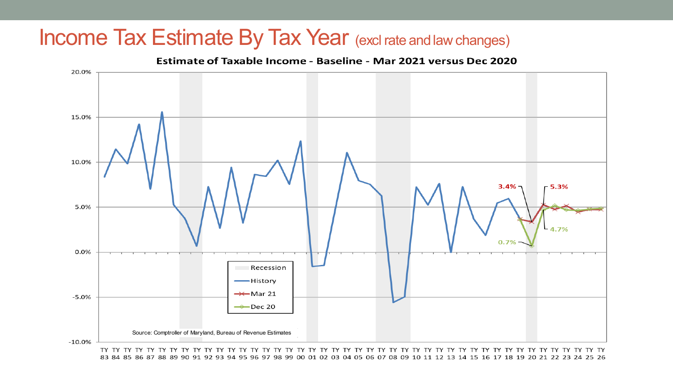### Income Tax Estimate By Tax Year (excl rate and law changes)



83 84 85 86 87 88 89 90 91 92 93 94 95 96 97 98 99 00 01 02 03 04 05 06 07 08 09 10 11 12 13 14 15 16 17 18 19 20 21 22 23 24 25 26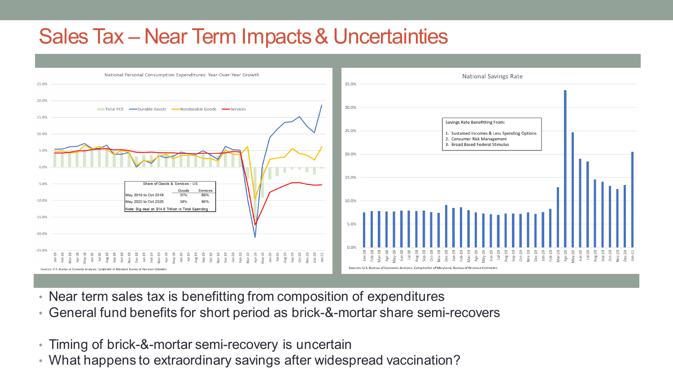## Sales Tax – Near Term Impacts & Uncertainties



- Near term sales tax is benefitting from composition of expenditures
- General fund benefits for short period as brick-&-mortar share semi-recovers
- Timing of brick-&-mortar semi-recovery is uncertain
- What happens to extraordinary savings after widespread vaccination?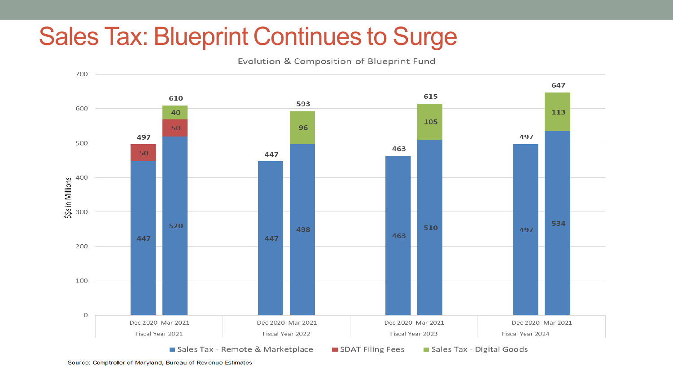# Sales Tax: Blueprint Continues to Surge

Evolution & Composition of Blueprint Fund

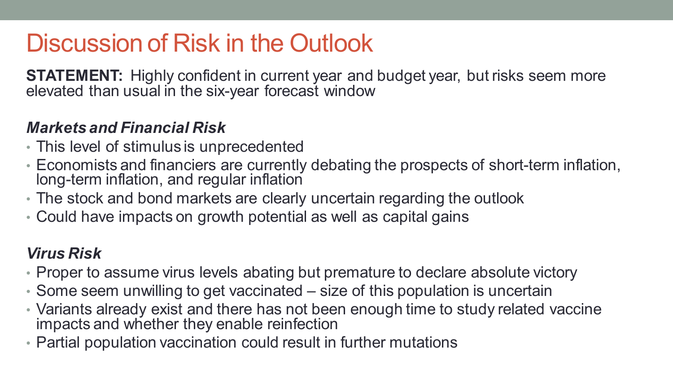# Discussion of Risk in the Outlook

**STATEMENT:** Highly confident in current year and budget year, but risks seem more elevated than usual in the six-year forecast window

#### *Markets and Financial Risk*

- This level of stimulus is unprecedented
- Economists and financiers are currently debating the prospects of short-term inflation, long-term inflation, and regular inflation
- The stock and bond markets are clearly uncertain regarding the outlook
- Could have impacts on growth potential as well as capital gains

#### *Virus Risk*

- Proper to assume virus levels abating but premature to declare absolute victory
- Some seem unwilling to get vaccinated size of this population is uncertain
- Variants already exist and there has not been enough time to study related vaccine impacts and whether they enable reinfection
- Partial population vaccination could result in further mutations